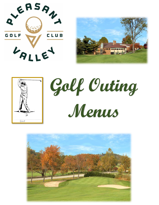







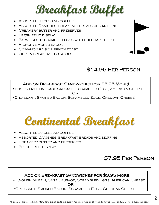## **Breakfast Buffet**

- Assorted juices and coffee
- Assorted Danishes, breakfast breads and muffins
- Creamery butter and preserves
- Fresh fruit display
- Farm fresh scrambled eggs with cheddar cheese
- HICKORY SMOKED BACON
- Cinnamon raisin French toast
- Obrien breakfast potatoes



#### \$14.95 Per Person  $\overline{a}$

#### Add on Breakfast Sandwiches for \$3.95 More!

 . •English Muffin, Sage Sausage, Scrambled Eggs, American Cheese **OR** 

•Croissant, Smoked Bacon, Scrambled Eggs, Cheddar Cheese

**Continental Breakfast**

- Assorted juices and coffee
- Assorted Danishes, breakfast breads and muffins
- Creamery butter and preserves
- Fresh fruit display

### \$7.95 Per Person

#### Add on Breakfast Sandwiches for \$3.95 More!

 • English Muffin, Sage Sausage, Scrambled Eggs, American Cheese <u>ii aan oo dhamaan ah dhamaan ah dhamaan ah dhamaan ah dhamaan ah dhamaan ah dhamaan ah dhamaan ah dhamaan ah d</u>

•Croissant, Smoked Bacon, Scrambled Eggs, Cheddar Cheese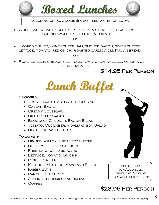

including chips, cookie & a bottled water or soda.

• Whole wheat wrap, rotisserie chicken salad, red grapes & candied walnuts, lettuce & tomato

**OR** 

• Smoked turkey, honey cured ham, smoked bacon, swiss cheese, lettuce, tomato, red onion, roasted garlic aioli, Italian bread

<u>OR OR</u>

• Roasted beef, cheddar, lettuce, tomato, caramelized onion aioli, **HERB CIABATTA** 

#### \$14.95 Per Person

**Lunch Buffet**

#### Choose 2:

- Tossed Salad, Assorted Dressing
- CAESAR SALAD
- Creamy Coleslaw
- Dill Potato Salad
- Broccoli, Cheddar, Bacon Salad
- Tomato, Cucumber, Vidalia Onion Salad
- Double A Pasta Salad

#### To go with:

- Dinner Rolls & Creamery Butter
- Buttermilk Fried Chicken
- FRESHLY GROUND BURGERS
- Lettuce, Tomato, Onions
- Pickle platter
- Ketchup, Mustard, Mayo and Relish
- Kaiser Buns
- RANCH STEAK FRIES
- Assorted cookies and brownies
- Coffee

Add on our Non-Alcoholic Beverage Package for \$2.00 per person!

## \$23.95 Per Person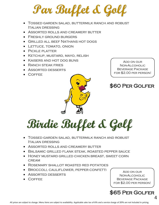**Par Buffet & Golf** 

- Tossed garden salad, buttermilk ranch and robust Italian dressing
- Assorted rolls and creamery butter
- FRESHLY GROUND BURGERS
- Grilled all beef Nathans hot dogs
- LETTUCE, TOMATO, ONION
- Pickle platter
- Ketchup, mustard, mayo, relish
- Kaisers and hot dog buns
- RANCH STEAK FRIES
- Assorted desserts
- Coffee



Add on our Non-Alcoholic Beverage Package for \$2.00 per person!

### \$60 Per Golfer

# **Birdie Buffet & Golf**

- Tossed garden salad, buttermilk ranch and robust Italian dressing
- Assorted rolls and creamery butter
- Balsamic grilled flank steak, roasted pepper sauce
- Honey mustard grilled chicken breast, sweet corn **CREAM**
- Rosemary shallot roasted red potatoes
- Broccoli, cauliflower, pepper confetti
- Assorted desserts
- Coffee

Add on our Non-Alcoholic Beverage Package for \$2.00 per person!

\$65 Per Golfer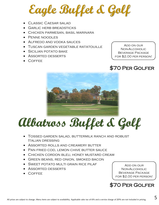# **Eagle Buffet & Golf**

- CLASSIC CAESAR SALAD
- GARLIC HERB BREADSTICKS
- Chicken parmesan, basil marinara
- Penne noodles
- Alfredo and vodka sauces
- Tuscan garden vegetable ratatouille
- Sicilian potato bake
- Assorted desserts
- Coffee

Add on our Non-Alcoholic Beverage Package for \$2.00 per person!

### \$70 Per Golfer



# **Albatross Buffet & Golf**

- Tossed garden salad, buttermilk ranch and robust Italian dressing
- Assorted rolls and creamery butter
- Pan fried cod, lemon chive butter sauce
- Chicken cordon bleu, honey mustard cream
- Green beans, red onion, smoked bacon
- SWEET POTATO MULTI GRAIN RICE PILAF
- Assorted desserts
- Coffee

Add on our Non-Alcoholic Beverage Package for \$2.00 per person!

\$70 Per Golfer